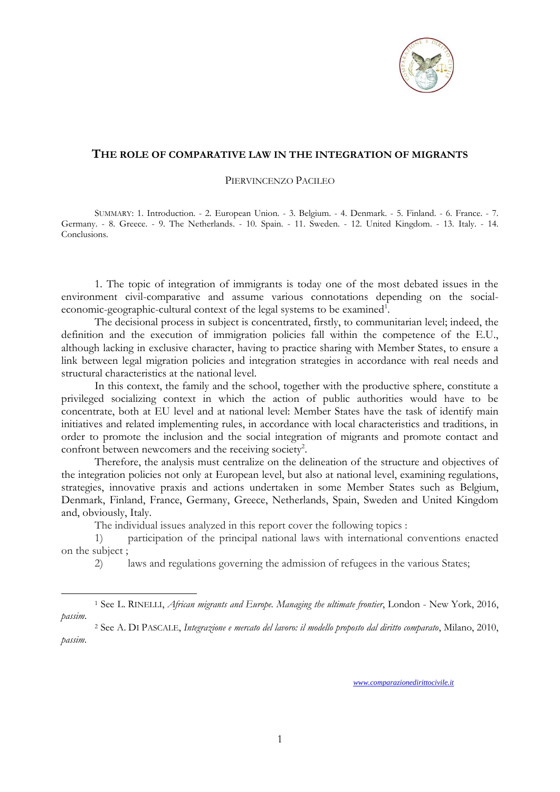

## **THE ROLE OF COMPARATIVE LAW IN THE INTEGRATION OF MIGRANTS**

PIERVINCENZO PACILEO

SUMMARY: 1. Introduction. - 2. European Union. - 3. Belgium. - 4. Denmark. - 5. Finland. - 6. France. - 7. Germany. - 8. Greece. - 9. The Netherlands. - 10. Spain. - 11. Sweden. - 12. United Kingdom. - 13. Italy. - 14. Conclusions.

1. The topic of integration of immigrants is today one of the most debated issues in the environment civil-comparative and assume various connotations depending on the socialeconomic-geographic-cultural context of the legal systems to be examined<sup>1</sup>.

The decisional process in subject is concentrated, firstly, to communitarian level; indeed, the definition and the execution of immigration policies fall within the competence of the E.U., although lacking in exclusive character, having to practice sharing with Member States, to ensure a link between legal migration policies and integration strategies in accordance with real needs and structural characteristics at the national level.

In this context, the family and the school, together with the productive sphere, constitute a privileged socializing context in which the action of public authorities would have to be concentrate, both at EU level and at national level: Member States have the task of identify main initiatives and related implementing rules, in accordance with local characteristics and traditions, in order to promote the inclusion and the social integration of migrants and promote contact and confront between newcomers and the receiving society<sup>2</sup>.

Therefore, the analysis must centralize on the delineation of the structure and objectives of the integration policies not only at European level, but also at national level, examining regulations, strategies, innovative praxis and actions undertaken in some Member States such as Belgium, Denmark, Finland, France, Germany, Greece, Netherlands, Spain, Sweden and United Kingdom and, obviously, Italy.

The individual issues analyzed in this report cover the following topics :

1

1) participation of the principal national laws with international conventions enacted on the subject ;

2) laws and regulations governing the admission of refugees in the various States;

<sup>1</sup> See L. RINELLI, *African migrants and Europe. Managing the ultimate frontier*, London - New York, 2016, *passim*.

<sup>2</sup> See A. DI PASCALE, *Integrazione e mercato del lavoro: il modello proposto dal diritto comparato*, Milano, 2010, *passim*.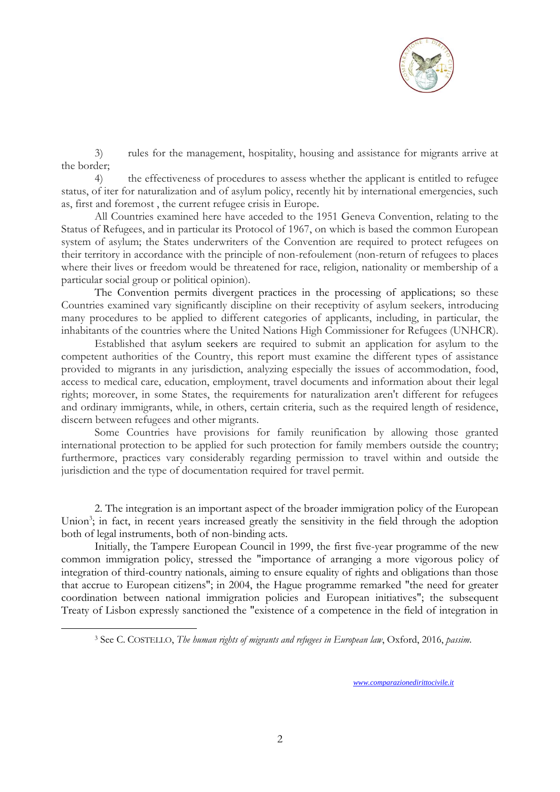

3) rules for the management, hospitality, housing and assistance for migrants arrive at the border;

4) the effectiveness of procedures to assess whether the applicant is entitled to refugee status, of iter for naturalization and of asylum policy, recently hit by international emergencies, such as, first and foremost , the current refugee crisis in Europe.

All Countries examined here have acceded to the 1951 Geneva Convention, relating to the Status of Refugees, and in particular its Protocol of 1967, on which is based the common European system of asylum; the States underwriters of the Convention are required to protect refugees on their territory in accordance with the principle of non-refoulement (non-return of refugees to places where their lives or freedom would be threatened for race, religion, nationality or membership of a particular social group or political opinion).

The Convention permits divergent practices in the processing of applications; so these Countries examined vary significantly discipline on their receptivity of asylum seekers, introducing many procedures to be applied to different categories of applicants, including, in particular, the inhabitants of the countries where the United Nations High Commissioner for Refugees (UNHCR).

Established that asylum seekers are required to submit an application for asylum to the competent authorities of the Country, this report must examine the different types of assistance provided to migrants in any jurisdiction, analyzing especially the issues of accommodation, food, access to medical care, education, employment, travel documents and information about their legal rights; moreover, in some States, the requirements for naturalization aren't different for refugees and ordinary immigrants, while, in others, certain criteria, such as the required length of residence, discern between refugees and other migrants.

Some Countries have provisions for family reunification by allowing those granted international protection to be applied for such protection for family members outside the country; furthermore, practices vary considerably regarding permission to travel within and outside the jurisdiction and the type of documentation required for travel permit.

2. The integration is an important aspect of the broader immigration policy of the European Union<sup>3</sup>; in fact, in recent years increased greatly the sensitivity in the field through the adoption both of legal instruments, both of non-binding acts.

Initially, the Tampere European Council in 1999, the first five-year programme of the new common immigration policy, stressed the "importance of arranging a more vigorous policy of integration of third-country nationals, aiming to ensure equality of rights and obligations than those that accrue to European citizens"; in 2004, the Hague programme remarked "the need for greater coordination between national immigration policies and European initiatives"; the subsequent Treaty of Lisbon expressly sanctioned the "existence of a competence in the field of integration in

1

<sup>3</sup> See C. COSTELLO, *The human rights of migrants and refugees in European law*, Oxford, 2016, *passim*.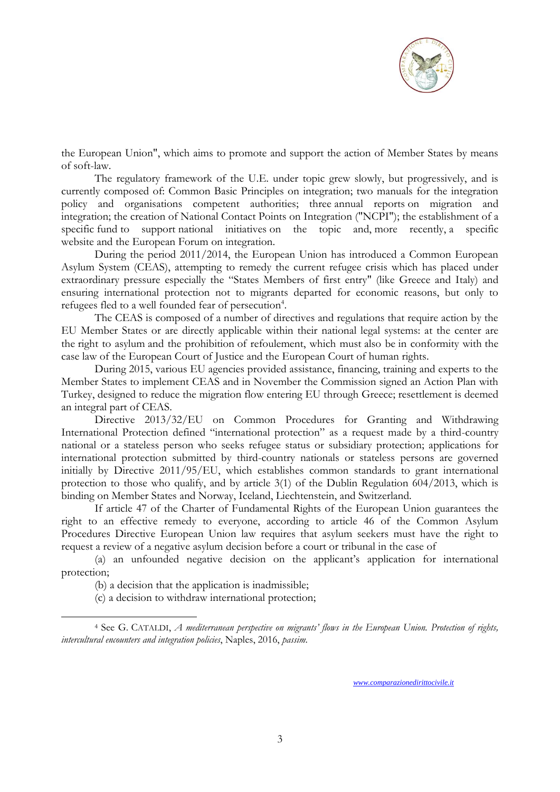

the European Union", which aims to promote and support the action of Member States by means of soft-law.

The regulatory framework of the U.E. under topic grew slowly, but progressively, and is currently composed of: Common Basic Principles on integration; two manuals for the integration policy and organisations competent authorities; three annual reports on migration and integration; the creation of National Contact Points on Integration ("NCPI"); the establishment of a specific fund to support national initiatives on the topic and, more recently, a specific website and the European Forum on integration.

During the period 2011/2014, the European Union has introduced a Common European Asylum System (CEAS), attempting to remedy the current refugee crisis which has placed under extraordinary pressure especially the "States Members of first entry" (like Greece and Italy) and ensuring international protection not to migrants departed for economic reasons, but only to refugees fled to a well founded fear of persecution<sup>4</sup>.

The CEAS is composed of a number of directives and regulations that require action by the EU Member States or are directly applicable within their national legal systems: at the center are the right to asylum and the prohibition of refoulement, which must also be in conformity with the case law of the European Court of Justice and the European Court of human rights.

During 2015, various EU agencies provided assistance, financing, training and experts to the Member States to implement CEAS and in November the Commission signed an Action Plan with Turkey, designed to reduce the migration flow entering EU through Greece; resettlement is deemed an integral part of CEAS.

Directive 2013/32/EU on Common Procedures for Granting and Withdrawing International Protection defined "international protection" as a request made by a third-country national or a stateless person who seeks refugee status or subsidiary protection; applications for international protection submitted by third-country nationals or stateless persons are governed initially by Directive 2011/95/EU, which establishes common standards to grant international protection to those who qualify, and by article 3(1) of the Dublin Regulation 604/2013, which is binding on Member States and Norway, Iceland, Liechtenstein, and Switzerland.

If article 47 of the Charter of Fundamental Rights of the European Union guarantees the right to an effective remedy to everyone, according to article 46 of the Common Asylum Procedures Directive European Union law requires that asylum seekers must have the right to request a review of a negative asylum decision before a court or tribunal in the case of

(a) an unfounded negative decision on the applicant's application for international protection;

(b) a decision that the application is inadmissible;

1

(c) a decision to withdraw international protection;

<sup>4</sup> See G. CATALDI, *A mediterranean perspective on migrants' flows in the European Union. Protection of rights, intercultural encounters and integration policies*, Naples, 2016, *passim*.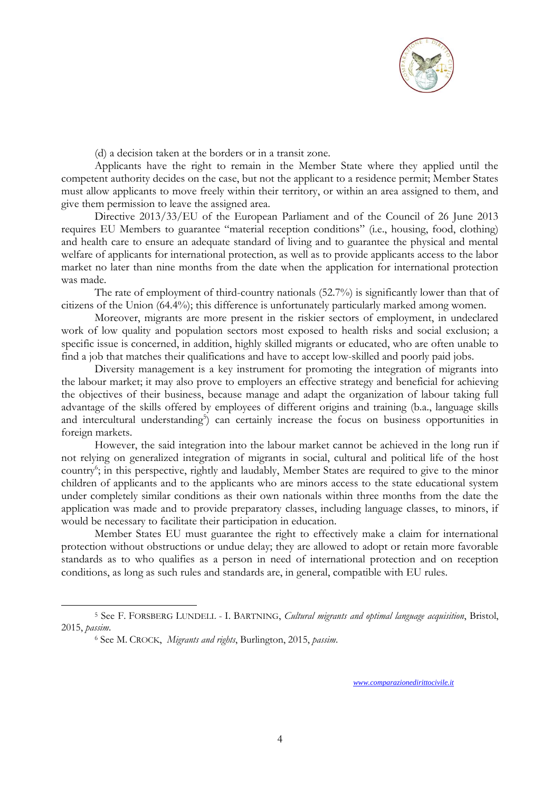

(d) a decision taken at the borders or in a transit zone.

Applicants have the right to remain in the Member State where they applied until the competent authority decides on the case, but not the applicant to a residence permit; Member States must allow applicants to move freely within their territory, or within an area assigned to them, and give them permission to leave the assigned area.

Directive 2013/33/EU of the European Parliament and of the Council of 26 June 2013 requires EU Members to guarantee "material reception conditions" (i.e., housing, food, clothing) and health care to ensure an adequate standard of living and to guarantee the physical and mental welfare of applicants for international protection, as well as to provide applicants access to the labor market no later than nine months from the date when the application for international protection was made.

The rate of employment of third-country nationals (52.7%) is significantly lower than that of citizens of the Union (64.4%); this difference is unfortunately particularly marked among women.

Moreover, migrants are more present in the riskier sectors of employment, in undeclared work of low quality and population sectors most exposed to health risks and social exclusion; a specific issue is concerned, in addition, highly skilled migrants or educated, who are often unable to find a job that matches their qualifications and have to accept low-skilled and poorly paid jobs.

Diversity management is a key instrument for promoting the integration of migrants into the labour market; it may also prove to employers an effective strategy and beneficial for achieving the objectives of their business, because manage and adapt the organization of labour taking full advantage of the skills offered by employees of different origins and training (b.a., language skills and intercultural understanding<sup>5</sup>) can certainly increase the focus on business opportunities in foreign markets.

However, the said integration into the labour market cannot be achieved in the long run if not relying on generalized integration of migrants in social, cultural and political life of the host country<sup>6</sup>; in this perspective, rightly and laudably, Member States are required to give to the minor children of applicants and to the applicants who are minors access to the state educational system under completely similar conditions as their own nationals within three months from the date the application was made and to provide preparatory classes, including language classes, to minors, if would be necessary to facilitate their participation in education.

Member States EU must guarantee the right to effectively make a claim for international protection without obstructions or undue delay; they are allowed to adopt or retain more favorable standards as to who qualifies as a person in need of international protection and on reception conditions, as long as such rules and standards are, in general, compatible with EU rules.

1

<sup>5</sup> See F. FORSBERG LUNDELL - I. BARTNING, *Cultural migrants and optimal language acquisition*, Bristol, 2015, *passim*.

<sup>6</sup> See M. CROCK, *Migrants and rights*, Burlington, 2015, *passim*.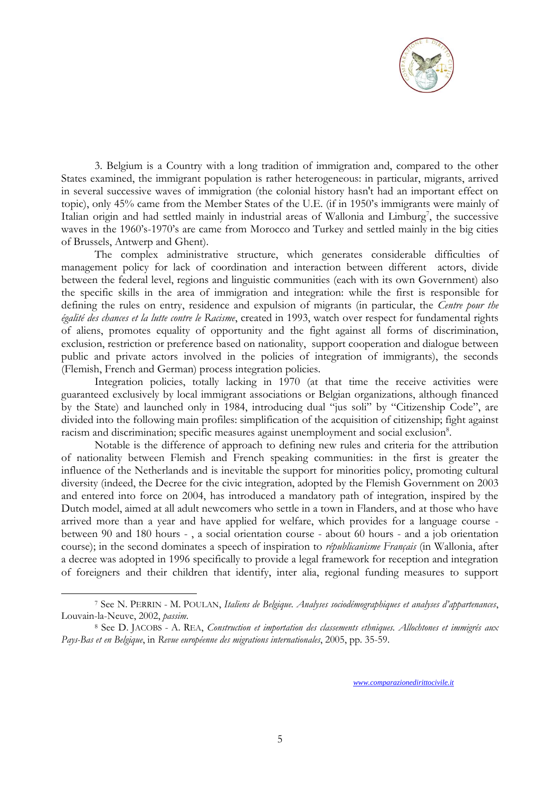

3. Belgium is a Country with a long tradition of immigration and, compared to the other States examined, the immigrant population is rather heterogeneous: in particular, migrants, arrived in several successive waves of immigration (the colonial history hasn't had an important effect on topic), only 45% came from the Member States of the U.E. (if in 1950's immigrants were mainly of Italian origin and had settled mainly in industrial areas of Wallonia and Limburg<sup>7</sup>, the successive waves in the 1960's-1970's are came from Morocco and Turkey and settled mainly in the big cities of Brussels, Antwerp and Ghent).

The complex administrative structure, which generates considerable difficulties of management policy for lack of coordination and interaction between different actors, divide between the federal level, regions and linguistic communities (each with its own Government) also the specific skills in the area of immigration and integration: while the first is responsible for defining the rules on entry, residence and expulsion of migrants (in particular, the *Centre pour the égalité des chances et la lutte contre le Racisme*, created in 1993, watch over respect for fundamental rights of aliens, promotes equality of opportunity and the fight against all forms of discrimination, exclusion, restriction or preference based on nationality, support cooperation and dialogue between public and private actors involved in the policies of integration of immigrants), the seconds (Flemish, French and German) process integration policies.

Integration policies, totally lacking in 1970 (at that time the receive activities were guaranteed exclusively by local immigrant associations or Belgian organizations, although financed by the State) and launched only in 1984, introducing dual "jus soli" by "Citizenship Code", are divided into the following main profiles: simplification of the acquisition of citizenship; fight against racism and discrimination; specific measures against unemployment and social exclusion<sup>8</sup>.

Notable is the difference of approach to defining new rules and criteria for the attribution of nationality between Flemish and French speaking communities: in the first is greater the influence of the Netherlands and is inevitable the support for minorities policy, promoting cultural diversity (indeed, the Decree for the civic integration, adopted by the Flemish Government on 2003 and entered into force on 2004, has introduced a mandatory path of integration, inspired by the Dutch model, aimed at all adult newcomers who settle in a town in Flanders, and at those who have arrived more than a year and have applied for welfare, which provides for a language course between 90 and 180 hours - , a social orientation course - about 60 hours - and a job orientation course); in the second dominates a speech of inspiration to *républicanisme Français* (in Wallonia, after a decree was adopted in 1996 specifically to provide a legal framework for reception and integration of foreigners and their children that identify, inter alia, regional funding measures to support

1

<sup>7</sup> See N. PERRIN - M. POULAN, *Italiens de Belgique. Analyses sociodémographiques et analyses d'appartenances*, Louvain-la-Neuve, 2002, *passim*.

<sup>8</sup> See D. JACOBS - A. REA, *Construction et importation des classements ethniques. Allochtones et immigrés aux Pays-Bas et en Belgique*, in *Revue européenne des migrations internationales*, 2005, pp. 35-59.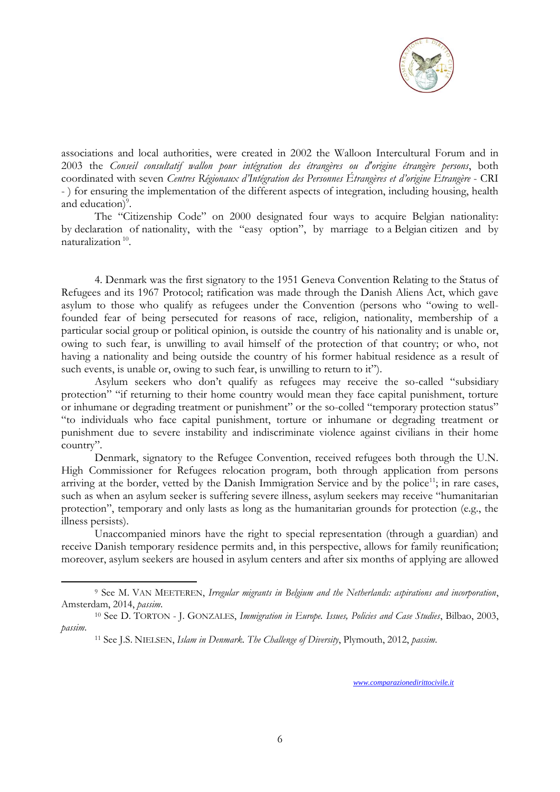

associations and local authorities, were created in 2002 the Walloon Intercultural Forum and in 2003 the *Conseil consultatif wallon pour intégration des étrangères ou d'origine étrangère persons*, both coordinated with seven *Centres Régionaux d'Intégration des Personnes Étrangères et d'origine Etrangère* - CRI - ) for ensuring the implementation of the different aspects of integration, including housing, health and education)<sup>9</sup>.

The "Citizenship Code" on 2000 designated four ways to acquire Belgian nationality: by declaration of nationality, with the "easy option", by marriage to a Belgian citizen and by naturalization<sup>10</sup>.

4. Denmark was the first signatory to the 1951 Geneva Convention Relating to the Status of Refugees and its 1967 Protocol; ratification was made through the Danish Aliens Act, which gave asylum to those who qualify as refugees under the Convention (persons who "owing to wellfounded fear of being persecuted for reasons of race, religion, nationality, membership of a particular social group or political opinion, is outside the country of his nationality and is unable or, owing to such fear, is unwilling to avail himself of the protection of that country; or who, not having a nationality and being outside the country of his former habitual residence as a result of such events, is unable or, owing to such fear, is unwilling to return to it").

Asylum seekers who don't qualify as refugees may receive the so-called "subsidiary protection" "if returning to their home country would mean they face capital punishment, torture or inhumane or degrading treatment or punishment" or the so-colled "temporary protection status" "to individuals who face capital punishment, torture or inhumane or degrading treatment or punishment due to severe instability and indiscriminate violence against civilians in their home country".

Denmark, signatory to the Refugee Convention, received refugees both through the U.N. High Commissioner for Refugees relocation program, both through application from persons arriving at the border, vetted by the Danish Immigration Service and by the police<sup>11</sup>; in rare cases, such as when an asylum seeker is suffering severe illness, asylum seekers may receive "humanitarian protection", temporary and only lasts as long as the humanitarian grounds for protection (e.g., the illness persists).

Unaccompanied minors have the right to special representation (through a guardian) and receive Danish temporary residence permits and, in this perspective, allows for family reunification; moreover, asylum seekers are housed in asylum centers and after six months of applying are allowed

1

<sup>9</sup> See M. VAN MEETEREN, *Irregular migrants in Belgium and the Netherlands: aspirations and incorporation*, Amsterdam, 2014, *passim*.

<sup>10</sup> See D. TORTON - J. GONZALES, *Immigration in Europe. Issues, Policies and Case Studies*, Bilbao, 2003, *passim*.

<sup>11</sup> See J.S. NIELSEN, *Islam in Denmark. The Challenge of Diversity*, Plymouth, 2012, *passim*.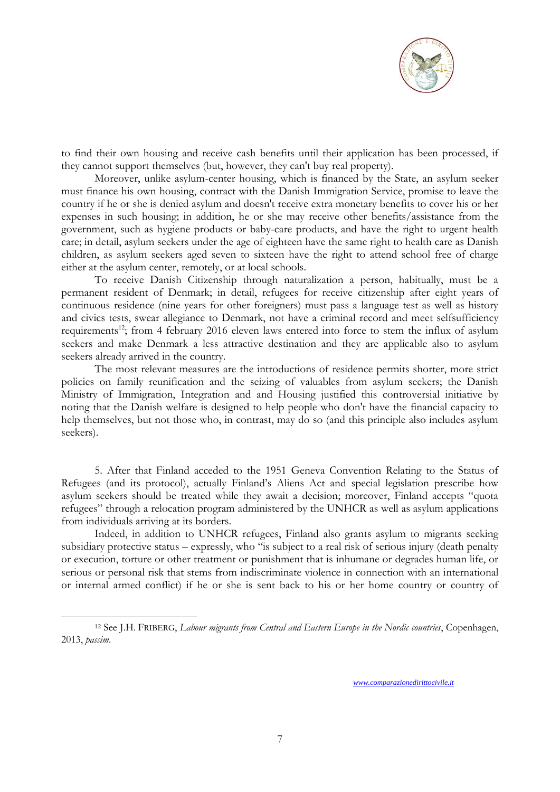

to find their own housing and receive cash benefits until their application has been processed, if they cannot support themselves (but, however, they can't buy real property).

Moreover, unlike asylum-center housing, which is financed by the State, an asylum seeker must finance his own housing, contract with the Danish Immigration Service, promise to leave the country if he or she is denied asylum and doesn't receive extra monetary benefits to cover his or her expenses in such housing; in addition, he or she may receive other benefits/assistance from the government, such as hygiene products or baby-care products, and have the right to urgent health care; in detail, asylum seekers under the age of eighteen have the same right to health care as Danish children, as asylum seekers aged seven to sixteen have the right to attend school free of charge either at the asylum center, remotely, or at local schools.

To receive Danish Citizenship through naturalization a person, habitually, must be a permanent resident of Denmark; in detail, refugees for receive citizenship after eight years of continuous residence (nine years for other foreigners) must pass a language test as well as history and civics tests, swear allegiance to Denmark, not have a criminal record and meet selfsufficiency requirements<sup>12</sup>; from 4 february 2016 eleven laws entered into force to stem the influx of asylum seekers and make Denmark a less attractive destination and they are applicable also to asylum seekers already arrived in the country.

The most relevant measures are the introductions of residence permits shorter, more strict policies on family reunification and the seizing of valuables from asylum seekers; the Danish Ministry of Immigration, Integration and and Housing justified this controversial initiative by noting that the Danish welfare is designed to help people who don't have the financial capacity to help themselves, but not those who, in contrast, may do so (and this principle also includes asylum seekers).

5. After that Finland acceded to the 1951 Geneva Convention Relating to the Status of Refugees (and its protocol), actually Finland's Aliens Act and special legislation prescribe how asylum seekers should be treated while they await a decision; moreover, Finland accepts "quota refugees" through a relocation program administered by the UNHCR as well as asylum applications from individuals arriving at its borders.

Indeed, in addition to UNHCR refugees, Finland also grants asylum to migrants seeking subsidiary protective status – expressly, who "is subject to a real risk of serious injury (death penalty or execution, torture or other treatment or punishment that is inhumane or degrades human life, or serious or personal risk that stems from indiscriminate violence in connection with an international or internal armed conflict) if he or she is sent back to his or her home country or country of

1

<sup>12</sup> See J.H. FRIBERG, *Labour migrants from Central and Eastern Europe in the Nordic countries*, Copenhagen, 2013, *passim*.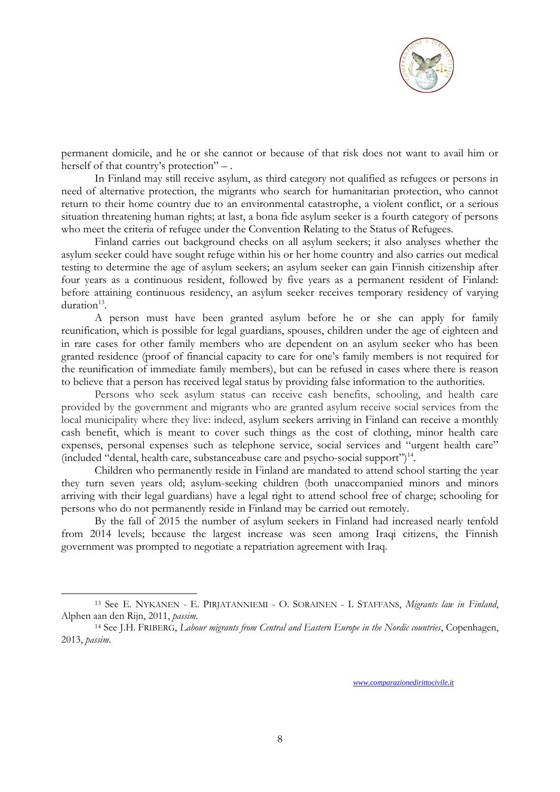

permanent domicile, and he or she cannot or because of that risk does not want to avail him or herself of that country's protection" –.

In Finland may still receive asylum, as third category not qualified as refugees or persons in need of alternative protection, the migrants who search for humanitarian protection, who cannot return to their home country due to an environmental catastrophe, a violent conflict, or a serious situation threatening human rights; at last, a bona fide asylum seeker is a fourth category of persons who meet the criteria of refugee under the Convention Relating to the Status of Refugees.

Finland carries out background checks on all asylum seekers; it also analyses whether the asylum seeker could have sought refuge within his or her home country and also carries out medical testing to determine the age of asylum seekers; an asylum seeker can gain Finnish citizenship after four years as a continuous resident, followed by five years as a permanent resident of Finland: before attaining continuous residency, an asylum seeker receives temporary residency of varying duration<sup>13</sup>.

A person must have been granted asylum before he or she can apply for family reunification, which is possible for legal guardians, spouses, children under the age of eighteen and in rare cases for other family members who are dependent on an asylum seeker who has been granted residence (proof of financial capacity to care for one's family members is not required for the reunification of immediate family members), but can be refused in cases where there is reason to believe that a person has received legal status by providing false information to the authorities.

Persons who seek asylum status can receive cash benefits, schooling, and health care provided by the government and migrants who are granted asylum receive social services from the local municipality where they live: indeed, asylum seekers arriving in Finland can receive a monthly cash benefit, which is meant to cover such things as the cost of clothing, minor health care expenses, personal expenses such as telephone service, social services and "urgent health care" (included "dental, health care, substanceabuse care and psycho-social support")<sup>14</sup>.

Children who permanently reside in Finland are mandated to attend school starting the year they turn seven years old; asylum-seeking children (both unaccompanied minors and minors arriving with their legal guardians) have a legal right to attend school free of charge; schooling for persons who do not permanently reside in Finland may be carried out remotely.

By the fall of 2015 the number of asylum seekers in Finland had increased nearly tenfold from 2014 levels; because the largest increase was seen among Iraqi citizens, the Finnish government was prompted to negotiate a repatriation agreement with Iraq.

1

<sup>13</sup> See E. NYKANEN - E. PIRJATANNIEMI - O. SORAINEN - I. STAFFANS, *Migrants law in Finland*, Alphen aan den Rijn, 2011, *passim*.

<sup>14</sup> See J.H. FRIBERG, *Labour migrants from Central and Eastern Europe in the Nordic countries*, Copenhagen, 2013, *passim*.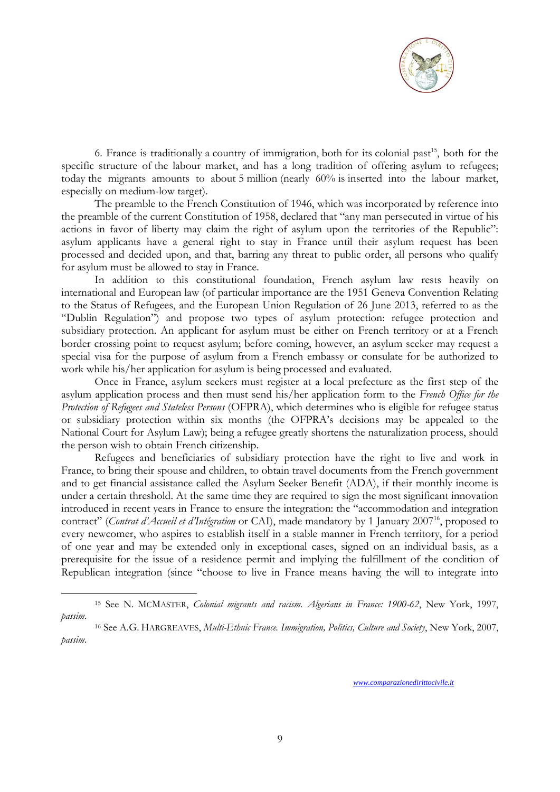

6. France is traditionally a country of immigration, both for its colonial past<sup>15</sup>, both for the specific structure of the labour market, and has a long tradition of offering asylum to refugees; today the migrants amounts to about 5 million (nearly 60% is inserted into the labour market, especially on medium-low target).

The preamble to the French Constitution of 1946, which was incorporated by reference into the preamble of the current Constitution of 1958, declared that "any man persecuted in virtue of his actions in favor of liberty may claim the right of asylum upon the territories of the Republic": asylum applicants have a general right to stay in France until their asylum request has been processed and decided upon, and that, barring any threat to public order, all persons who qualify for asylum must be allowed to stay in France.

In addition to this constitutional foundation, French asylum law rests heavily on international and European law (of particular importance are the 1951 Geneva Convention Relating to the Status of Refugees, and the European Union Regulation of 26 June 2013, referred to as the "Dublin Regulation") and propose two types of asylum protection: refugee protection and subsidiary protection. An applicant for asylum must be either on French territory or at a French border crossing point to request asylum; before coming, however, an asylum seeker may request a special visa for the purpose of asylum from a French embassy or consulate for be authorized to work while his/her application for asylum is being processed and evaluated.

Once in France, asylum seekers must register at a local prefecture as the first step of the asylum application process and then must send his/her application form to the *French Office for the Protection of Refugees and Stateless Persons* (OFPRA), which determines who is eligible for refugee status or subsidiary protection within six months (the OFPRA's decisions may be appealed to the National Court for Asylum Law); being a refugee greatly shortens the naturalization process, should the person wish to obtain French citizenship.

Refugees and beneficiaries of subsidiary protection have the right to live and work in France, to bring their spouse and children, to obtain travel documents from the French government and to get financial assistance called the Asylum Seeker Benefit (ADA), if their monthly income is under a certain threshold. At the same time they are required to sign the most significant innovation introduced in recent years in France to ensure the integration: the "accommodation and integration contract" (*Contrat d'Accueil et d'Intégration* or CAI), made mandatory by 1 January 2007<sup>16</sup>, proposed to every newcomer, who aspires to establish itself in a stable manner in French territory, for a period of one year and may be extended only in exceptional cases, signed on an individual basis, as a prerequisite for the issue of a residence permit and implying the fulfillment of the condition of Republican integration (since "choose to live in France means having the will to integrate into

1

<sup>15</sup> See N. MCMASTER, *Colonial migrants and racism. Algerians in France: 1900-62*, New York, 1997, *passim*.

<sup>16</sup> See A.G. HARGREAVES, *Multi-Ethnic France. Immigration, Politics, Culture and Society*, New York, 2007, *passim*.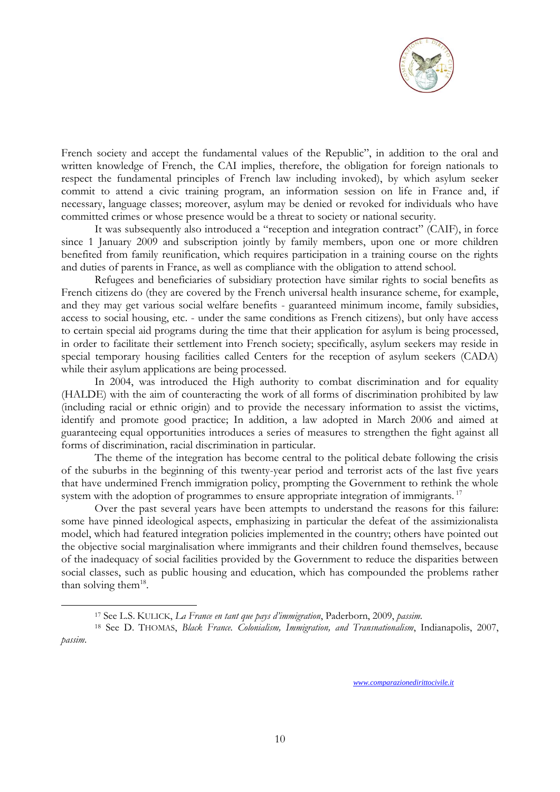![](_page_9_Picture_0.jpeg)

French society and accept the fundamental values of the Republic", in addition to the oral and written knowledge of French, the CAI implies, therefore, the obligation for foreign nationals to respect the fundamental principles of French law including invoked), by which asylum seeker commit to attend a civic training program, an information session on life in France and, if necessary, language classes; moreover, asylum may be denied or revoked for individuals who have committed crimes or whose presence would be a threat to society or national security.

It was subsequently also introduced a "reception and integration contract" (CAIF), in force since 1 January 2009 and subscription jointly by family members, upon one or more children benefited from family reunification, which requires participation in a training course on the rights and duties of parents in France, as well as compliance with the obligation to attend school.

Refugees and beneficiaries of subsidiary protection have similar rights to social benefits as French citizens do (they are covered by the French universal health insurance scheme, for example, and they may get various social welfare benefits - guaranteed minimum income, family subsidies, access to social housing, etc. - under the same conditions as French citizens), but only have access to certain special aid programs during the time that their application for asylum is being processed, in order to facilitate their settlement into French society; specifically, asylum seekers may reside in special temporary housing facilities called Centers for the reception of asylum seekers (CADA) while their asylum applications are being processed.

In 2004, was introduced the High authority to combat discrimination and for equality (HALDE) with the aim of counteracting the work of all forms of discrimination prohibited by law (including racial or ethnic origin) and to provide the necessary information to assist the victims, identify and promote good practice; In addition, a law adopted in March 2006 and aimed at guaranteeing equal opportunities introduces a series of measures to strengthen the fight against all forms of discrimination, racial discrimination in particular.

The theme of the integration has become central to the political debate following the crisis of the suburbs in the beginning of this twenty-year period and terrorist acts of the last five years that have undermined French immigration policy, prompting the Government to rethink the whole system with the adoption of programmes to ensure appropriate integration of immigrants.<sup>17</sup>

Over the past several years have been attempts to understand the reasons for this failure: some have pinned ideological aspects, emphasizing in particular the defeat of the assimizionalista model, which had featured integration policies implemented in the country; others have pointed out the objective social marginalisation where immigrants and their children found themselves, because of the inadequacy of social facilities provided by the Government to reduce the disparities between social classes, such as public housing and education, which has compounded the problems rather than solving them $^{18}$ .

1

<sup>17</sup> See L.S. KULICK, *La France en tant que pays d'immigration*, Paderborn, 2009, *passim*.

<sup>18</sup> See D. THOMAS, *Black France. Colonialism, Immigration, and Transnationalism*, Indianapolis, 2007, *passim*.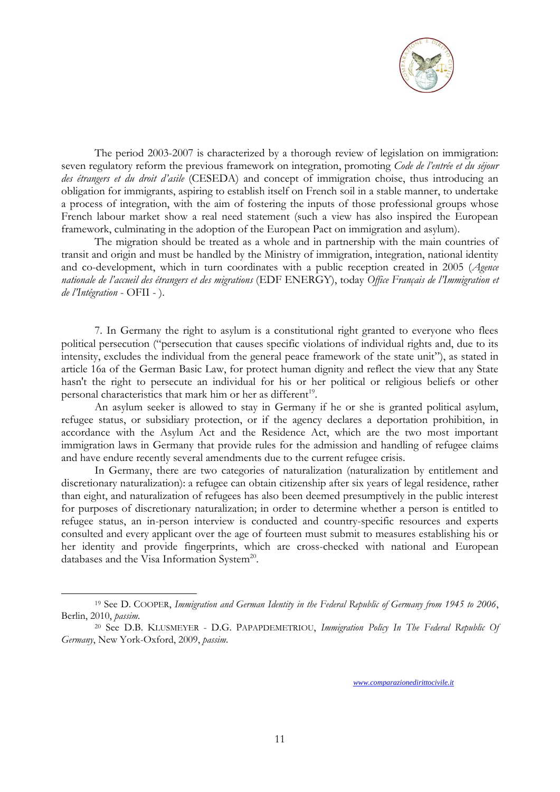![](_page_10_Picture_0.jpeg)

The period 2003-2007 is characterized by a thorough review of legislation on immigration: seven regulatory reform the previous framework on integration, promoting *Code de l'entrée et du séjour des étrangers et du droit d'asile* (CESEDA) and concept of immigration choise, thus introducing an obligation for immigrants, aspiring to establish itself on French soil in a stable manner, to undertake a process of integration, with the aim of fostering the inputs of those professional groups whose French labour market show a real need statement (such a view has also inspired the European framework, culminating in the adoption of the European Pact on immigration and asylum).

The migration should be treated as a whole and in partnership with the main countries of transit and origin and must be handled by the Ministry of immigration, integration, national identity and co-development, which in turn coordinates with a public reception created in 2005 (*Agence nationale de l'accueil des étrangers et des migrations* (EDF ENERGY), today *Office Français de l'Immigration et de l'Intégration* - OFII - ).

7. In Germany the right to asylum is a constitutional right granted to everyone who flees political persecution ("persecution that causes specific violations of individual rights and, due to its intensity, excludes the individual from the general peace framework of the state unit"), as stated in article 16a of the German Basic Law, for protect human dignity and reflect the view that any State hasn't the right to persecute an individual for his or her political or religious beliefs or other personal characteristics that mark him or her as different<sup>19</sup>.

An asylum seeker is allowed to stay in Germany if he or she is granted political asylum, refugee status, or subsidiary protection, or if the agency declares a deportation prohibition, in accordance with the Asylum Act and the Residence Act, which are the two most important immigration laws in Germany that provide rules for the admission and handling of refugee claims and have endure recently several amendments due to the current refugee crisis.

In Germany, there are two categories of naturalization (naturalization by entitlement and discretionary naturalization): a refugee can obtain citizenship after six years of legal residence, rather than eight, and naturalization of refugees has also been deemed presumptively in the public interest for purposes of discretionary naturalization; in order to determine whether a person is entitled to refugee status, an in-person interview is conducted and country-specific resources and experts consulted and every applicant over the age of fourteen must submit to measures establishing his or her identity and provide fingerprints, which are cross-checked with national and European databases and the Visa Information System<sup>20</sup>.

1

<sup>19</sup> See D. COOPER, *Immigration and German Identity in the Federal Republic of Germany from 1945 to 2006*, Berlin, 2010, *passim*.

<sup>20</sup> See D.B. KLUSMEYER - D.G. PAPAPDEMETRIOU, *Immigration Policy In The Federal Republic Of Germany*, New York-Oxford, 2009, *passim*.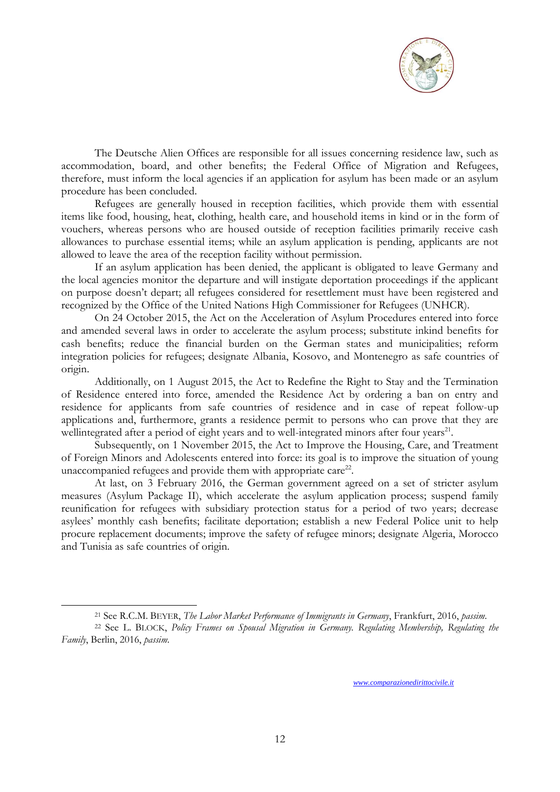![](_page_11_Picture_0.jpeg)

The Deutsche Alien Offices are responsible for all issues concerning residence law, such as accommodation, board, and other benefits; the Federal Office of Migration and Refugees, therefore, must inform the local agencies if an application for asylum has been made or an asylum procedure has been concluded.

Refugees are generally housed in reception facilities, which provide them with essential items like food, housing, heat, clothing, health care, and household items in kind or in the form of vouchers, whereas persons who are housed outside of reception facilities primarily receive cash allowances to purchase essential items; while an asylum application is pending, applicants are not allowed to leave the area of the reception facility without permission.

If an asylum application has been denied, the applicant is obligated to leave Germany and the local agencies monitor the departure and will instigate deportation proceedings if the applicant on purpose doesn't depart; all refugees considered for resettlement must have been registered and recognized by the Office of the United Nations High Commissioner for Refugees (UNHCR).

On 24 October 2015, the Act on the Acceleration of Asylum Procedures entered into force and amended several laws in order to accelerate the asylum process; substitute inkind benefits for cash benefits; reduce the financial burden on the German states and municipalities; reform integration policies for refugees; designate Albania, Kosovo, and Montenegro as safe countries of origin.

Additionally, on 1 August 2015, the Act to Redefine the Right to Stay and the Termination of Residence entered into force, amended the Residence Act by ordering a ban on entry and residence for applicants from safe countries of residence and in case of repeat follow-up applications and, furthermore, grants a residence permit to persons who can prove that they are wellintegrated after a period of eight years and to well-integrated minors after four years<sup>21</sup>.

Subsequently, on 1 November 2015, the Act to Improve the Housing, Care, and Treatment of Foreign Minors and Adolescents entered into force: its goal is to improve the situation of young unaccompanied refugees and provide them with appropriate care<sup>22</sup>.

At last, on 3 February 2016, the German government agreed on a set of stricter asylum measures (Asylum Package II), which accelerate the asylum application process; suspend family reunification for refugees with subsidiary protection status for a period of two years; decrease asylees' monthly cash benefits; facilitate deportation; establish a new Federal Police unit to help procure replacement documents; improve the safety of refugee minors; designate Algeria, Morocco and Tunisia as safe countries of origin.

1

<sup>21</sup> See R.C.M. BEYER, *The Labor Market Performance of Immigrants in Germany*, Frankfurt, 2016, *passim*.

<sup>22</sup> See L. BLOCK, *Policy Frames on Spousal Migration in Germany. Regulating Membership, Regulating the Family*, Berlin, 2016, *passim*.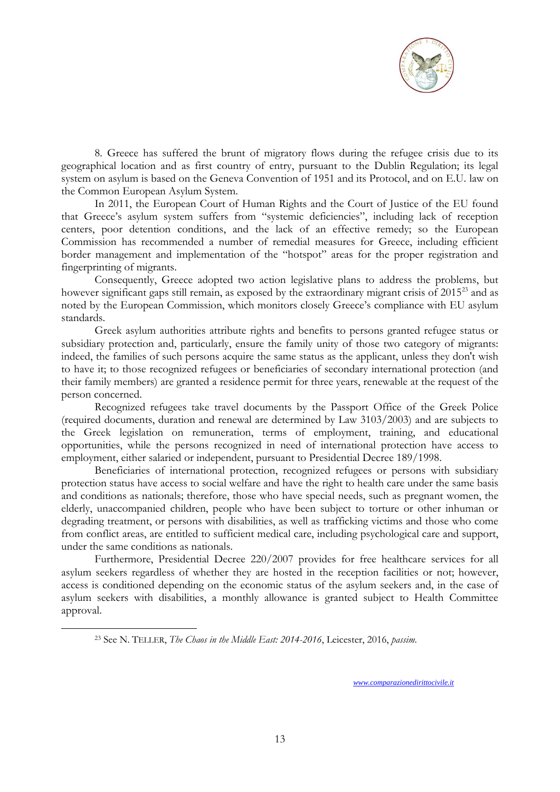![](_page_12_Picture_0.jpeg)

8. Greece has suffered the brunt of migratory flows during the refugee crisis due to its geographical location and as first country of entry, pursuant to the Dublin Regulation; its legal system on asylum is based on the Geneva Convention of 1951 and its Protocol, and on E.U. law on the Common European Asylum System.

In 2011, the European Court of Human Rights and the Court of Justice of the EU found that Greece's asylum system suffers from "systemic deficiencies", including lack of reception centers, poor detention conditions, and the lack of an effective remedy; so the European Commission has recommended a number of remedial measures for Greece, including efficient border management and implementation of the "hotspot" areas for the proper registration and fingerprinting of migrants.

Consequently, Greece adopted two action legislative plans to address the problems, but however significant gaps still remain, as exposed by the extraordinary migrant crisis of 2015<sup>23</sup> and as noted by the European Commission, which monitors closely Greece's compliance with EU asylum standards.

Greek asylum authorities attribute rights and benefits to persons granted refugee status or subsidiary protection and, particularly, ensure the family unity of those two category of migrants: indeed, the families of such persons acquire the same status as the applicant, unless they don't wish to have it; to those recognized refugees or beneficiaries of secondary international protection (and their family members) are granted a residence permit for three years, renewable at the request of the person concerned.

Recognized refugees take travel documents by the Passport Office of the Greek Police (required documents, duration and renewal are determined by Law 3103/2003) and are subjects to the Greek legislation on remuneration, terms of employment, training, and educational opportunities, while the persons recognized in need of international protection have access to employment, either salaried or independent, pursuant to Presidential Decree 189/1998.

Beneficiaries of international protection, recognized refugees or persons with subsidiary protection status have access to social welfare and have the right to health care under the same basis and conditions as nationals; therefore, those who have special needs, such as pregnant women, the elderly, unaccompanied children, people who have been subject to torture or other inhuman or degrading treatment, or persons with disabilities, as well as trafficking victims and those who come from conflict areas, are entitled to sufficient medical care, including psychological care and support, under the same conditions as nationals.

Furthermore, Presidential Decree 220/2007 provides for free healthcare services for all asylum seekers regardless of whether they are hosted in the reception facilities or not; however, access is conditioned depending on the economic status of the asylum seekers and, in the case of asylum seekers with disabilities, a monthly allowance is granted subject to Health Committee approval.

1

<sup>23</sup> See N. TELLER, *The Chaos in the Middle East: 2014-2016*, Leicester, 2016, *passim*.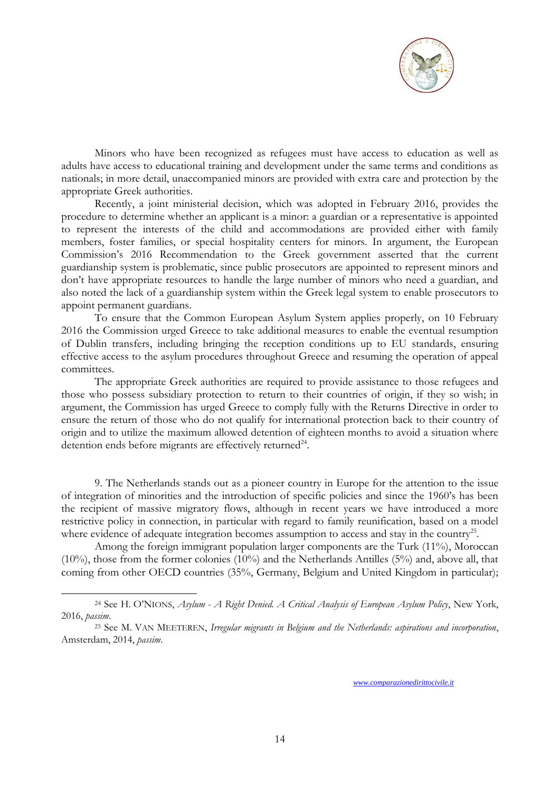![](_page_13_Picture_0.jpeg)

Minors who have been recognized as refugees must have access to education as well as adults have access to educational training and development under the same terms and conditions as nationals; in more detail, unaccompanied minors are provided with extra care and protection by the appropriate Greek authorities.

Recently, a joint ministerial decision, which was adopted in February 2016, provides the procedure to determine whether an applicant is a minor: a guardian or a representative is appointed to represent the interests of the child and accommodations are provided either with family members, foster families, or special hospitality centers for minors. In argument, the European Commission's 2016 Recommendation to the Greek government asserted that the current guardianship system is problematic, since public prosecutors are appointed to represent minors and don't have appropriate resources to handle the large number of minors who need a guardian, and also noted the lack of a guardianship system within the Greek legal system to enable prosecutors to appoint permanent guardians.

To ensure that the Common European Asylum System applies properly, on 10 February 2016 the Commission urged Greece to take additional measures to enable the eventual resumption of Dublin transfers, including bringing the reception conditions up to EU standards, ensuring effective access to the asylum procedures throughout Greece and resuming the operation of appeal committees.

The appropriate Greek authorities are required to provide assistance to those refugees and those who possess subsidiary protection to return to their countries of origin, if they so wish; in argument, the Commission has urged Greece to comply fully with the Returns Directive in order to ensure the return of those who do not qualify for international protection back to their country of origin and to utilize the maximum allowed detention of eighteen months to avoid a situation where detention ends before migrants are effectively returned<sup>24</sup>.

9. The Netherlands stands out as a pioneer country in Europe for the attention to the issue of integration of minorities and the introduction of specific policies and since the 1960's has been the recipient of massive migratory flows, although in recent years we have introduced a more restrictive policy in connection, in particular with regard to family reunification, based on a model where evidence of adequate integration becomes assumption to access and stay in the country<sup>25</sup>.

Among the foreign immigrant population larger components are the Turk (11%), Moroccan (10%), those from the former colonies (10%) and the Netherlands Antilles (5%) and, above all, that coming from other OECD countries (35%, Germany, Belgium and United Kingdom in particular);

1

<sup>24</sup> See H. O'NIONS, *Asylum - A Right Denied. A Critical Analysis of European Asylum Policy*, New York, 2016, *passim*.

<sup>25</sup> See M. VAN MEETEREN, *Irregular migrants in Belgium and the Netherlands: aspirations and incorporation*, Amsterdam, 2014, *passim*.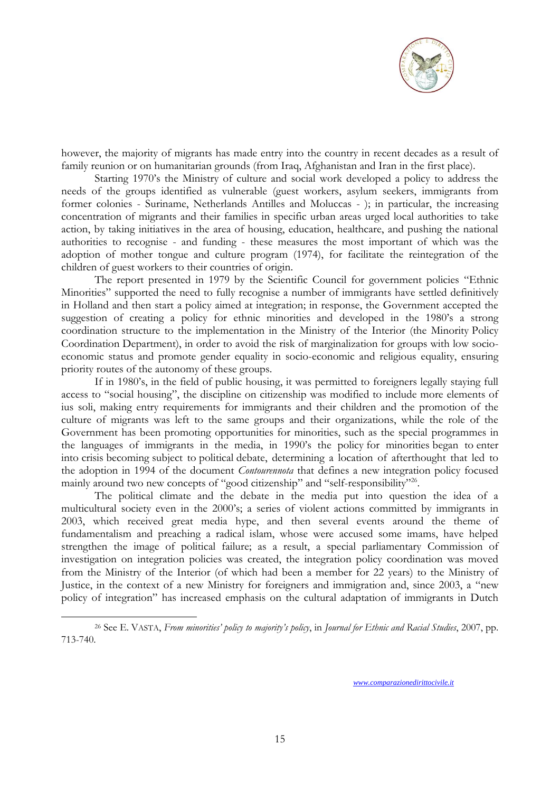![](_page_14_Picture_0.jpeg)

however, the majority of migrants has made entry into the country in recent decades as a result of family reunion or on humanitarian grounds (from Iraq, Afghanistan and Iran in the first place).

Starting 1970's the Ministry of culture and social work developed a policy to address the needs of the groups identified as vulnerable (guest workers, asylum seekers, immigrants from former colonies - Suriname, Netherlands Antilles and Moluccas - ); in particular, the increasing concentration of migrants and their families in specific urban areas urged local authorities to take action, by taking initiatives in the area of housing, education, healthcare, and pushing the national authorities to recognise - and funding - these measures the most important of which was the adoption of mother tongue and culture program (1974), for facilitate the reintegration of the children of guest workers to their countries of origin.

The report presented in 1979 by the Scientific Council for government policies "Ethnic Minorities" supported the need to fully recognise a number of immigrants have settled definitively in Holland and then start a policy aimed at integration; in response, the Government accepted the suggestion of creating a policy for ethnic minorities and developed in the 1980's a strong coordination structure to the implementation in the Ministry of the Interior (the Minority Policy Coordination Department), in order to avoid the risk of marginalization for groups with low socioeconomic status and promote gender equality in socio-economic and religious equality, ensuring priority routes of the autonomy of these groups.

If in 1980's, in the field of public housing, it was permitted to foreigners legally staying full access to "social housing", the discipline on citizenship was modified to include more elements of ius soli, making entry requirements for immigrants and their children and the promotion of the culture of migrants was left to the same groups and their organizations, while the role of the Government has been promoting opportunities for minorities, such as the special programmes in the languages of immigrants in the media, in 1990's the policy for minorities began to enter into crisis becoming subject to political debate, determining a location of afterthought that led to the adoption in 1994 of the document *Contourennota* that defines a new integration policy focused mainly around two new concepts of "good citizenship" and "self-responsibility"<sup>26</sup>.

The political climate and the debate in the media put into question the idea of a multicultural society even in the 2000's; a series of violent actions committed by immigrants in 2003, which received great media hype, and then several events around the theme of fundamentalism and preaching a radical islam, whose were accused some imams, have helped strengthen the image of political failure; as a result, a special parliamentary Commission of investigation on integration policies was created, the integration policy coordination was moved from the Ministry of the Interior (of which had been a member for 22 years) to the Ministry of Justice, in the context of a new Ministry for foreigners and immigration and, since 2003, a "new policy of integration" has increased emphasis on the cultural adaptation of immigrants in Dutch

1

<sup>26</sup> See E. VASTA, *From minorities' policy to majority's policy*, in *Journal for Ethnic and Racial Studies*, 2007, pp. 713-740.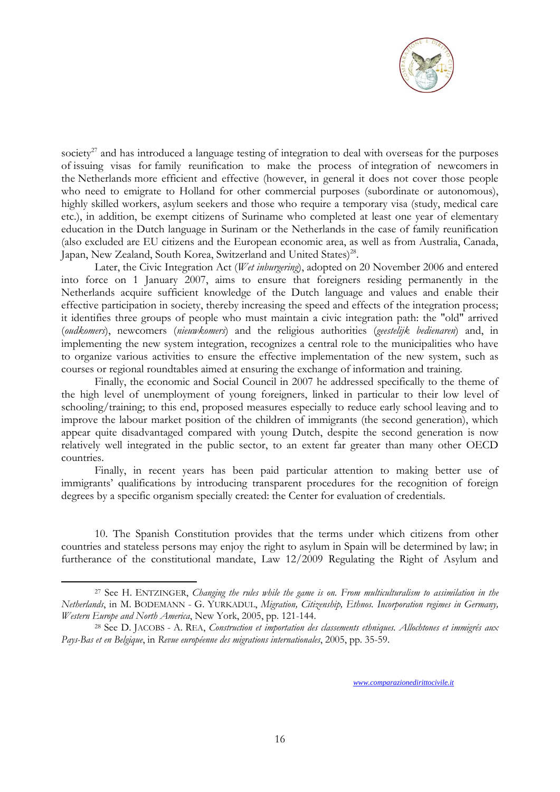![](_page_15_Picture_0.jpeg)

society<sup>27</sup> and has introduced a language testing of integration to deal with overseas for the purposes of issuing visas for family reunification to make the process of integration of newcomers in the Netherlands more efficient and effective (however, in general it does not cover those people who need to emigrate to Holland for other commercial purposes (subordinate or autonomous), highly skilled workers, asylum seekers and those who require a temporary visa (study, medical care etc.), in addition, be exempt citizens of Suriname who completed at least one year of elementary education in the Dutch language in Surinam or the Netherlands in the case of family reunification (also excluded are EU citizens and the European economic area, as well as from Australia, Canada, Japan, New Zealand, South Korea, Switzerland and United States)<sup>28</sup>.

Later, the Civic Integration Act (*Wet inburgering*), adopted on 20 November 2006 and entered into force on 1 January 2007, aims to ensure that foreigners residing permanently in the Netherlands acquire sufficient knowledge of the Dutch language and values and enable their effective participation in society, thereby increasing the speed and effects of the integration process; it identifies three groups of people who must maintain a civic integration path: the "old" arrived (*oudkomers*), newcomers (*nieuwkomers*) and the religious authorities (*geestelijk bedienaren*) and, in implementing the new system integration, recognizes a central role to the municipalities who have to organize various activities to ensure the effective implementation of the new system, such as courses or regional roundtables aimed at ensuring the exchange of information and training.

Finally, the economic and Social Council in 2007 he addressed specifically to the theme of the high level of unemployment of young foreigners, linked in particular to their low level of schooling/training; to this end, proposed measures especially to reduce early school leaving and to improve the labour market position of the children of immigrants (the second generation), which appear quite disadvantaged compared with young Dutch, despite the second generation is now relatively well integrated in the public sector, to an extent far greater than many other OECD countries.

Finally, in recent years has been paid particular attention to making better use of immigrants' qualifications by introducing transparent procedures for the recognition of foreign degrees by a specific organism specially created: the Center for evaluation of credentials.

10. The Spanish Constitution provides that the terms under which citizens from other countries and stateless persons may enjoy the right to asylum in Spain will be determined by law; in furtherance of the constitutional mandate, Law 12/2009 Regulating the Right of Asylum and

1

<sup>27</sup> See H. ENTZINGER, *Changing the rules while the game is on. From multiculturalism to assimilation in the Netherlands*, in M. BODEMANN - G. YURKADUL, *Migration, Citizenship, Ethnos. Incorporation regimes in Germany, Western Europe and North America*, New York, 2005, pp. 121-144.

<sup>28</sup> See D. JACOBS - A. REA, *Construction et importation des classements ethniques. Allochtones et immigrés aux Pays-Bas et en Belgique*, in *Revue européenne des migrations internationales*, 2005, pp. 35-59.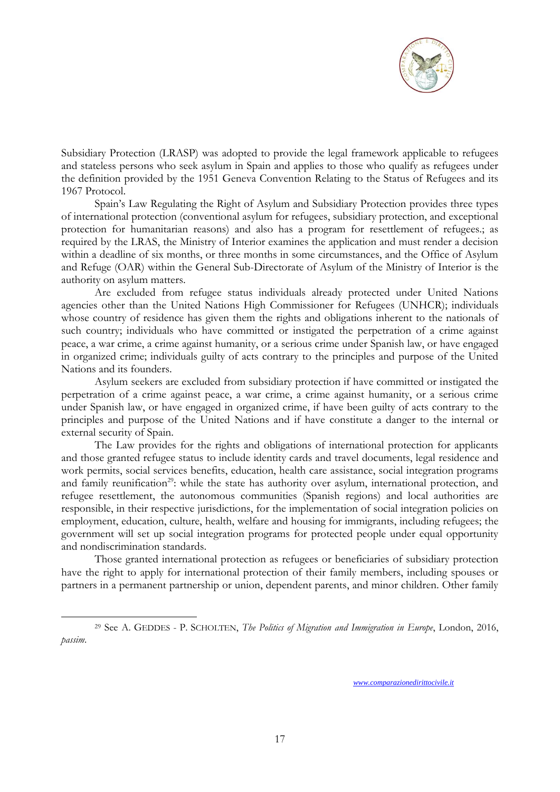![](_page_16_Picture_0.jpeg)

Subsidiary Protection (LRASP) was adopted to provide the legal framework applicable to refugees and stateless persons who seek asylum in Spain and applies to those who qualify as refugees under the definition provided by the 1951 Geneva Convention Relating to the Status of Refugees and its 1967 Protocol.

Spain's Law Regulating the Right of Asylum and Subsidiary Protection provides three types of international protection (conventional asylum for refugees, subsidiary protection, and exceptional protection for humanitarian reasons) and also has a program for resettlement of refugees.; as required by the LRAS, the Ministry of Interior examines the application and must render a decision within a deadline of six months, or three months in some circumstances, and the Office of Asylum and Refuge (OAR) within the General Sub-Directorate of Asylum of the Ministry of Interior is the authority on asylum matters.

Are excluded from refugee status individuals already protected under United Nations agencies other than the United Nations High Commissioner for Refugees (UNHCR); individuals whose country of residence has given them the rights and obligations inherent to the nationals of such country; individuals who have committed or instigated the perpetration of a crime against peace, a war crime, a crime against humanity, or a serious crime under Spanish law, or have engaged in organized crime; individuals guilty of acts contrary to the principles and purpose of the United Nations and its founders.

Asylum seekers are excluded from subsidiary protection if have committed or instigated the perpetration of a crime against peace, a war crime, a crime against humanity, or a serious crime under Spanish law, or have engaged in organized crime, if have been guilty of acts contrary to the principles and purpose of the United Nations and if have constitute a danger to the internal or external security of Spain.

The Law provides for the rights and obligations of international protection for applicants and those granted refugee status to include identity cards and travel documents, legal residence and work permits, social services benefits, education, health care assistance, social integration programs and family reunification<sup>29</sup>: while the state has authority over asylum, international protection, and refugee resettlement, the autonomous communities (Spanish regions) and local authorities are responsible, in their respective jurisdictions, for the implementation of social integration policies on employment, education, culture, health, welfare and housing for immigrants, including refugees; the government will set up social integration programs for protected people under equal opportunity and nondiscrimination standards.

Those granted international protection as refugees or beneficiaries of subsidiary protection have the right to apply for international protection of their family members, including spouses or partners in a permanent partnership or union, dependent parents, and minor children. Other family

1

<sup>29</sup> See A. GEDDES - P. SCHOLTEN, *The Politics of Migration and Immigration in Europe*, London, 2016, *passim*.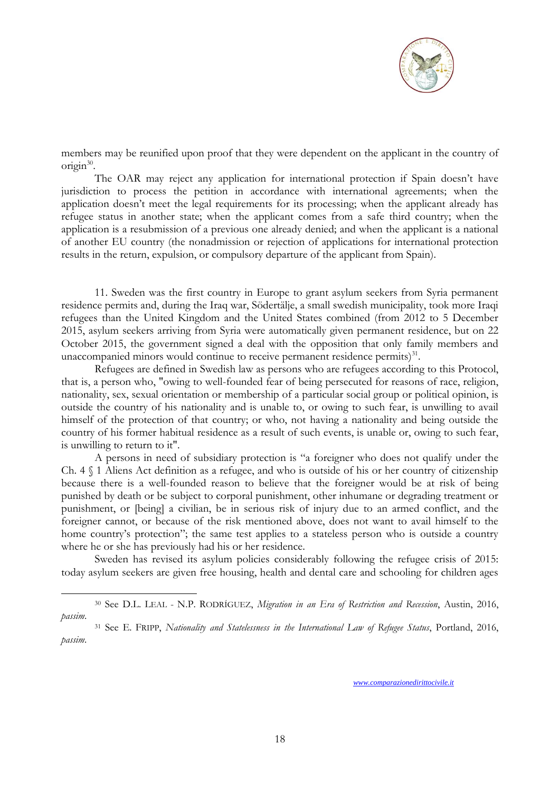![](_page_17_Picture_0.jpeg)

members may be reunified upon proof that they were dependent on the applicant in the country of origin<sup>30</sup>.

The OAR may reject any application for international protection if Spain doesn't have jurisdiction to process the petition in accordance with international agreements; when the application doesn't meet the legal requirements for its processing; when the applicant already has refugee status in another state; when the applicant comes from a safe third country; when the application is a resubmission of a previous one already denied; and when the applicant is a national of another EU country (the nonadmission or rejection of applications for international protection results in the return, expulsion, or compulsory departure of the applicant from Spain).

11. Sweden was the first country in Europe to grant asylum seekers from Syria permanent residence permits and, during the Iraq war, Södertälje, a small swedish municipality, took more Iraqi refugees than the United Kingdom and the United States combined (from 2012 to 5 December 2015, asylum seekers arriving from Syria were automatically given permanent residence, but on 22 October 2015, the government signed a deal with the opposition that only family members and unaccompanied minors would continue to receive permanent residence permits $)^{31}$ .

Refugees are defined in Swedish law as persons who are refugees according to this Protocol, that is, a person who, "owing to well-founded fear of being persecuted for reasons of race, religion, nationality, sex, sexual orientation or membership of a particular social group or political opinion, is outside the country of his nationality and is unable to, or owing to such fear, is unwilling to avail himself of the protection of that country; or who, not having a nationality and being outside the country of his former habitual residence as a result of such events, is unable or, owing to such fear, is unwilling to return to it".

A persons in need of subsidiary protection is "a foreigner who does not qualify under the Ch. 4 § 1 Aliens Act definition as a refugee, and who is outside of his or her country of citizenship because there is a well-founded reason to believe that the foreigner would be at risk of being punished by death or be subject to corporal punishment, other inhumane or degrading treatment or punishment, or [being] a civilian, be in serious risk of injury due to an armed conflict, and the foreigner cannot, or because of the risk mentioned above, does not want to avail himself to the home country's protection"; the same test applies to a stateless person who is outside a country where he or she has previously had his or her residence.

Sweden has revised its asylum policies considerably following the refugee crisis of 2015: today asylum seekers are given free housing, health and dental care and schooling for children ages

1

<sup>30</sup> See D.L. LEAL - N.P. RODRÍGUEZ, *Migration in an Era of Restriction and Recession*, Austin, 2016, *passim*.

<sup>31</sup> See E. FRIPP, *Nationality and Statelessness in the International Law of Refugee Status*, Portland, 2016, *passim*.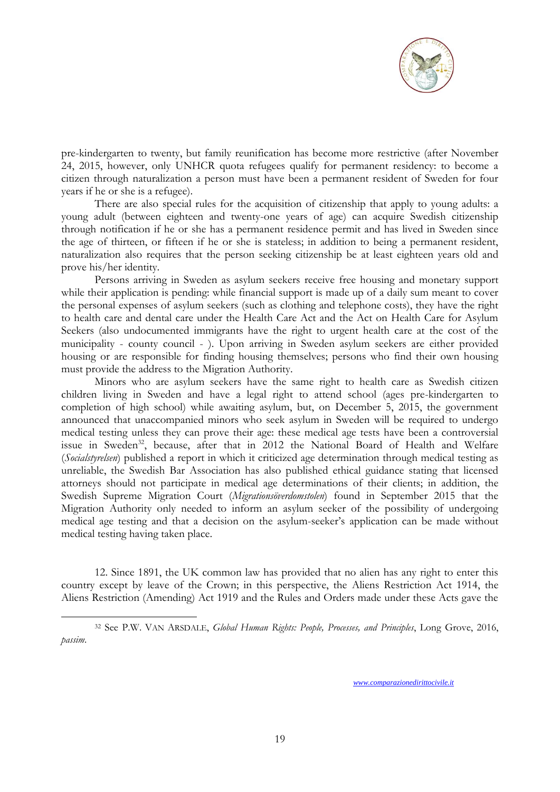![](_page_18_Picture_0.jpeg)

pre-kindergarten to twenty, but family reunification has become more restrictive (after November 24, 2015, however, only UNHCR quota refugees qualify for permanent residency: to become a citizen through naturalization a person must have been a permanent resident of Sweden for four years if he or she is a refugee).

There are also special rules for the acquisition of citizenship that apply to young adults: a young adult (between eighteen and twenty-one years of age) can acquire Swedish citizenship through notification if he or she has a permanent residence permit and has lived in Sweden since the age of thirteen, or fifteen if he or she is stateless; in addition to being a permanent resident, naturalization also requires that the person seeking citizenship be at least eighteen years old and prove his/her identity.

Persons arriving in Sweden as asylum seekers receive free housing and monetary support while their application is pending: while financial support is made up of a daily sum meant to cover the personal expenses of asylum seekers (such as clothing and telephone costs), they have the right to health care and dental care under the Health Care Act and the Act on Health Care for Asylum Seekers (also undocumented immigrants have the right to urgent health care at the cost of the municipality - county council - ). Upon arriving in Sweden asylum seekers are either provided housing or are responsible for finding housing themselves; persons who find their own housing must provide the address to the Migration Authority.

Minors who are asylum seekers have the same right to health care as Swedish citizen children living in Sweden and have a legal right to attend school (ages pre-kindergarten to completion of high school) while awaiting asylum, but, on December 5, 2015, the government announced that unaccompanied minors who seek asylum in Sweden will be required to undergo medical testing unless they can prove their age: these medical age tests have been a controversial issue in Sweden<sup>32</sup>, because, after that in 2012 the National Board of Health and Welfare (*Socialstyrelsen*) published a report in which it criticized age determination through medical testing as unreliable, the Swedish Bar Association has also published ethical guidance stating that licensed attorneys should not participate in medical age determinations of their clients; in addition, the Swedish Supreme Migration Court (*Migrationsöverdomstolen*) found in September 2015 that the Migration Authority only needed to inform an asylum seeker of the possibility of undergoing medical age testing and that a decision on the asylum-seeker's application can be made without medical testing having taken place.

12. Since 1891, the UK common law has provided that no alien has any right to enter this country except by leave of the Crown; in this perspective, the Aliens Restriction Act 1914, the Aliens Restriction (Amending) Act 1919 and the Rules and Orders made under these Acts gave the

1

<sup>32</sup> See P.W. VAN ARSDALE, *Global Human Rights: People, Processes, and Principles*, Long Grove, 2016, *passim*.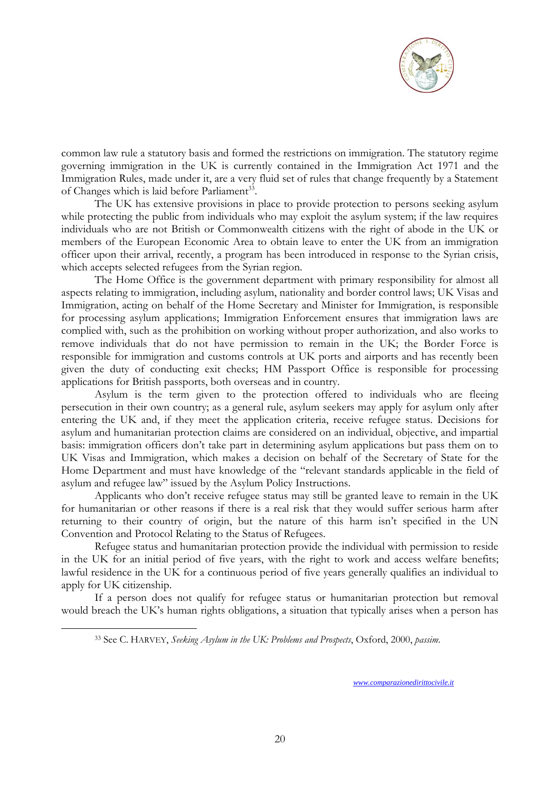![](_page_19_Picture_0.jpeg)

common law rule a statutory basis and formed the restrictions on immigration. The statutory regime governing immigration in the UK is currently contained in the Immigration Act 1971 and the Immigration Rules, made under it, are a very fluid set of rules that change frequently by a Statement of Changes which is laid before Parliament<sup>33</sup>.

The UK has extensive provisions in place to provide protection to persons seeking asylum while protecting the public from individuals who may exploit the asylum system; if the law requires individuals who are not British or Commonwealth citizens with the right of abode in the UK or members of the European Economic Area to obtain leave to enter the UK from an immigration officer upon their arrival, recently, a program has been introduced in response to the Syrian crisis, which accepts selected refugees from the Syrian region.

The Home Office is the government department with primary responsibility for almost all aspects relating to immigration, including asylum, nationality and border control laws; UK Visas and Immigration, acting on behalf of the Home Secretary and Minister for Immigration, is responsible for processing asylum applications; Immigration Enforcement ensures that immigration laws are complied with, such as the prohibition on working without proper authorization, and also works to remove individuals that do not have permission to remain in the UK; the Border Force is responsible for immigration and customs controls at UK ports and airports and has recently been given the duty of conducting exit checks; HM Passport Office is responsible for processing applications for British passports, both overseas and in country.

Asylum is the term given to the protection offered to individuals who are fleeing persecution in their own country; as a general rule, asylum seekers may apply for asylum only after entering the UK and, if they meet the application criteria, receive refugee status. Decisions for asylum and humanitarian protection claims are considered on an individual, objective, and impartial basis: immigration officers don't take part in determining asylum applications but pass them on to UK Visas and Immigration, which makes a decision on behalf of the Secretary of State for the Home Department and must have knowledge of the "relevant standards applicable in the field of asylum and refugee law" issued by the Asylum Policy Instructions.

Applicants who don't receive refugee status may still be granted leave to remain in the UK for humanitarian or other reasons if there is a real risk that they would suffer serious harm after returning to their country of origin, but the nature of this harm isn't specified in the UN Convention and Protocol Relating to the Status of Refugees.

Refugee status and humanitarian protection provide the individual with permission to reside in the UK for an initial period of five years, with the right to work and access welfare benefits; lawful residence in the UK for a continuous period of five years generally qualifies an individual to apply for UK citizenship.

If a person does not qualify for refugee status or humanitarian protection but removal would breach the UK's human rights obligations, a situation that typically arises when a person has

1

<sup>33</sup> See C. HARVEY, *Seeking Asylum in the UK: Problems and Prospects*, Oxford, 2000, *passim*.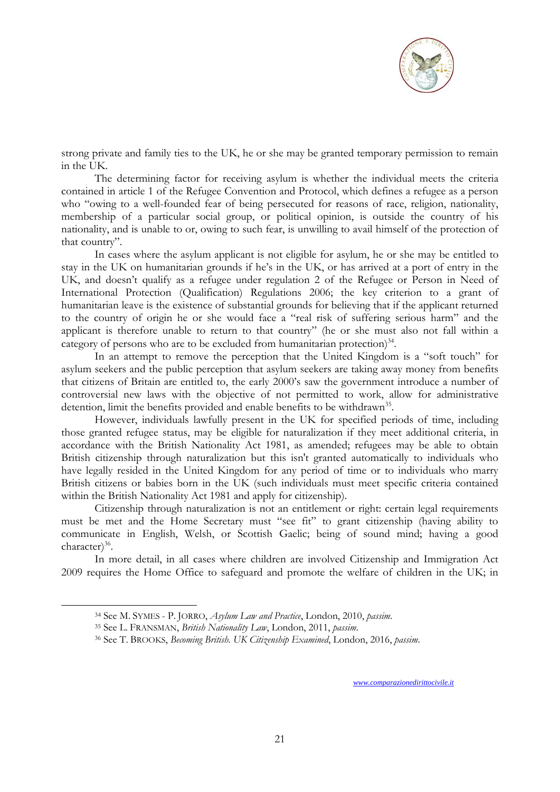![](_page_20_Picture_0.jpeg)

strong private and family ties to the UK, he or she may be granted temporary permission to remain in the UK.

The determining factor for receiving asylum is whether the individual meets the criteria contained in article 1 of the Refugee Convention and Protocol, which defines a refugee as a person who "owing to a well-founded fear of being persecuted for reasons of race, religion, nationality, membership of a particular social group, or political opinion, is outside the country of his nationality, and is unable to or, owing to such fear, is unwilling to avail himself of the protection of that country".

In cases where the asylum applicant is not eligible for asylum, he or she may be entitled to stay in the UK on humanitarian grounds if he's in the UK, or has arrived at a port of entry in the UK, and doesn't qualify as a refugee under regulation 2 of the Refugee or Person in Need of International Protection (Qualification) Regulations 2006; the key criterion to a grant of humanitarian leave is the existence of substantial grounds for believing that if the applicant returned to the country of origin he or she would face a "real risk of suffering serious harm" and the applicant is therefore unable to return to that country" (he or she must also not fall within a category of persons who are to be excluded from humanitarian protection)<sup>34</sup>.

In an attempt to remove the perception that the United Kingdom is a "soft touch" for asylum seekers and the public perception that asylum seekers are taking away money from benefits that citizens of Britain are entitled to, the early 2000's saw the government introduce a number of controversial new laws with the objective of not permitted to work, allow for administrative detention, limit the benefits provided and enable benefits to be withdrawn<sup>35</sup>.

However, individuals lawfully present in the UK for specified periods of time, including those granted refugee status, may be eligible for naturalization if they meet additional criteria, in accordance with the British Nationality Act 1981, as amended; refugees may be able to obtain British citizenship through naturalization but this isn't granted automatically to individuals who have legally resided in the United Kingdom for any period of time or to individuals who marry British citizens or babies born in the UK (such individuals must meet specific criteria contained within the British Nationality Act 1981 and apply for citizenship).

Citizenship through naturalization is not an entitlement or right: certain legal requirements must be met and the Home Secretary must "see fit" to grant citizenship (having ability to communicate in English, Welsh, or Scottish Gaelic; being of sound mind; having a good character)<sup>36</sup>.

In more detail, in all cases where children are involved Citizenship and Immigration Act 2009 requires the Home Office to safeguard and promote the welfare of children in the UK; in

1

<sup>34</sup> See M. S[YMES](https://www.amazon.co.uk/Mark-Symes/e/B001KDO56G/ref=dp_byline_cont_book_1) - P. J[ORRO](https://www.amazon.co.uk/s/ref=dp_byline_sr_book_2?ie=UTF8&text=Peter+Jorro&search-alias=books-uk&field-author=Peter+Jorro&sort=relevancerank), *Asylum Law and Practice*, London, 2010, *passim*.

<sup>35</sup> See L. FRANSMAN, *British Nationality Law*, London, 2011, *passim*.

<sup>36</sup> See T. BROOKS, *Becoming British. UK Citizenship Examined*, London, 2016, *passim*.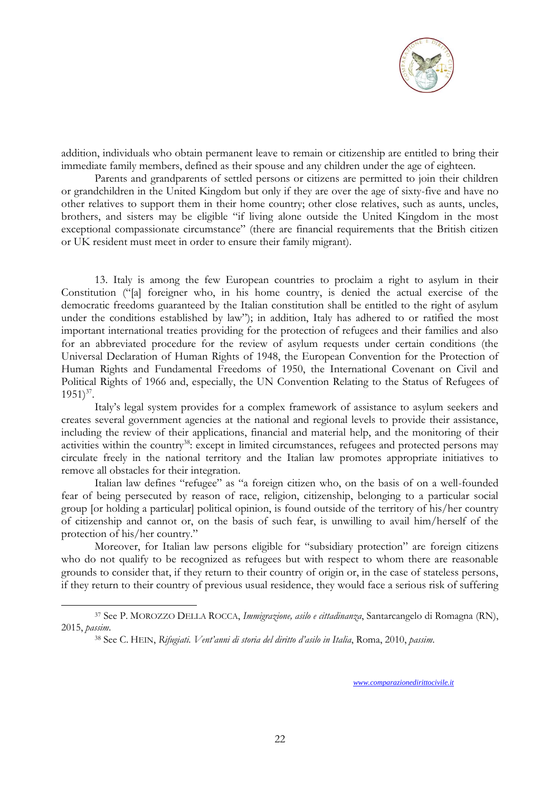![](_page_21_Picture_0.jpeg)

addition, individuals who obtain permanent leave to remain or citizenship are entitled to bring their immediate family members, defined as their spouse and any children under the age of eighteen.

Parents and grandparents of settled persons or citizens are permitted to join their children or grandchildren in the United Kingdom but only if they are over the age of sixty-five and have no other relatives to support them in their home country; other close relatives, such as aunts, uncles, brothers, and sisters may be eligible "if living alone outside the United Kingdom in the most exceptional compassionate circumstance" (there are financial requirements that the British citizen or UK resident must meet in order to ensure their family migrant).

13. Italy is among the few European countries to proclaim a right to asylum in their Constitution ("[a] foreigner who, in his home country, is denied the actual exercise of the democratic freedoms guaranteed by the Italian constitution shall be entitled to the right of asylum under the conditions established by law"); in addition, Italy has adhered to or ratified the most important international treaties providing for the protection of refugees and their families and also for an abbreviated procedure for the review of asylum requests under certain conditions (the Universal Declaration of Human Rights of 1948, the European Convention for the Protection of Human Rights and Fundamental Freedoms of 1950, the International Covenant on Civil and Political Rights of 1966 and, especially, the UN Convention Relating to the Status of Refugees of  $1951)^{37}$ .

Italy's legal system provides for a complex framework of assistance to asylum seekers and creates several government agencies at the national and regional levels to provide their assistance, including the review of their applications, financial and material help, and the monitoring of their activities within the country<sup>38</sup>: except in limited circumstances, refugees and protected persons may circulate freely in the national territory and the Italian law promotes appropriate initiatives to remove all obstacles for their integration.

Italian law defines "refugee" as "a foreign citizen who, on the basis of on a well-founded fear of being persecuted by reason of race, religion, citizenship, belonging to a particular social group [or holding a particular] political opinion, is found outside of the territory of his/her country of citizenship and cannot or, on the basis of such fear, is unwilling to avail him/herself of the protection of his/her country."

Moreover, for Italian law persons eligible for "subsidiary protection" are foreign citizens who do not qualify to be recognized as refugees but with respect to whom there are reasonable grounds to consider that, if they return to their country of origin or, in the case of stateless persons, if they return to their country of previous usual residence, they would face a serious risk of suffering

1

<sup>37</sup> See P. MOROZZO DELLA ROCCA, *Immigrazione, asilo e cittadinanza*, Santarcangelo di Romagna (RN), 2015, *passim*.

<sup>38</sup> See C. HEIN, *Rifugiati. Vent'anni di storia del diritto d'asilo in Italia*, Roma, 2010, *passim*.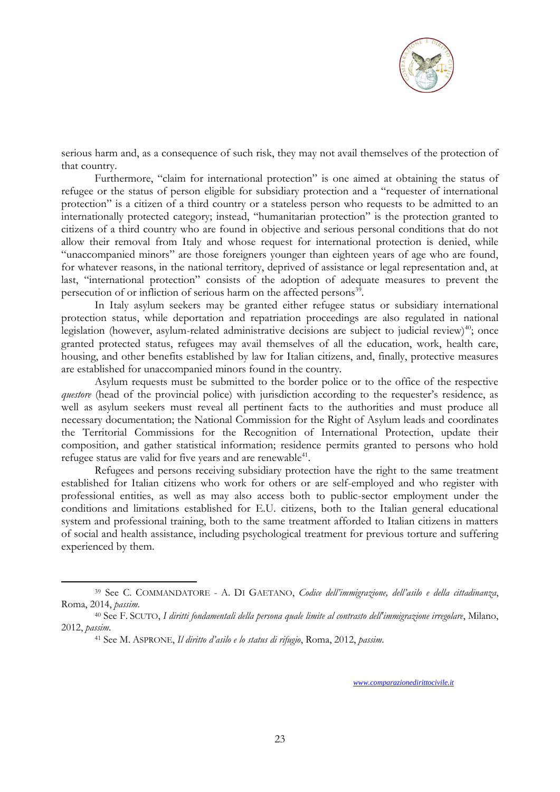![](_page_22_Picture_0.jpeg)

serious harm and, as a consequence of such risk, they may not avail themselves of the protection of that country.

Furthermore, "claim for international protection" is one aimed at obtaining the status of refugee or the status of person eligible for subsidiary protection and a "requester of international protection" is a citizen of a third country or a stateless person who requests to be admitted to an internationally protected category; instead, "humanitarian protection" is the protection granted to citizens of a third country who are found in objective and serious personal conditions that do not allow their removal from Italy and whose request for international protection is denied, while "unaccompanied minors" are those foreigners younger than eighteen years of age who are found, for whatever reasons, in the national territory, deprived of assistance or legal representation and, at last, "international protection" consists of the adoption of adequate measures to prevent the persecution of or infliction of serious harm on the affected persons<sup>39</sup>.

In Italy asylum seekers may be granted either refugee status or subsidiary international protection status, while deportation and repatriation proceedings are also regulated in national legislation (however, asylum-related administrative decisions are subject to judicial review)<sup>40</sup>; once granted protected status, refugees may avail themselves of all the education, work, health care, housing, and other benefits established by law for Italian citizens, and, finally, protective measures are established for unaccompanied minors found in the country.

Asylum requests must be submitted to the border police or to the office of the respective *questore* (head of the provincial police) with jurisdiction according to the requester's residence, as well as asylum seekers must reveal all pertinent facts to the authorities and must produce all necessary documentation; the National Commission for the Right of Asylum leads and coordinates the Territorial Commissions for the Recognition of International Protection, update their composition, and gather statistical information; residence permits granted to persons who hold refugee status are valid for five years and are renewable<sup>41</sup>.

Refugees and persons receiving subsidiary protection have the right to the same treatment established for Italian citizens who work for others or are self-employed and who register with professional entities, as well as may also access both to public-sector employment under the conditions and limitations established for E.U. citizens, both to the Italian general educational system and professional training, both to the same treatment afforded to Italian citizens in matters of social and health assistance, including psychological treatment for previous torture and suffering experienced by them.

1

<sup>39</sup> See C. COMMANDATORE - A. DI GAETANO, *Codice dell'immigrazione, dell'asilo e della cittadinanza*, Roma, 2014, *passim*.

<sup>40</sup> See F. SCUTO, *I diritti fondamentali della persona quale limite al contrasto dell'immigrazione irregolare*, Milano, 2012, *passim*.

<sup>41</sup> See M. ASPRONE, *Il diritto d'asilo e lo status di rifugio*, Roma, 2012, *passim*.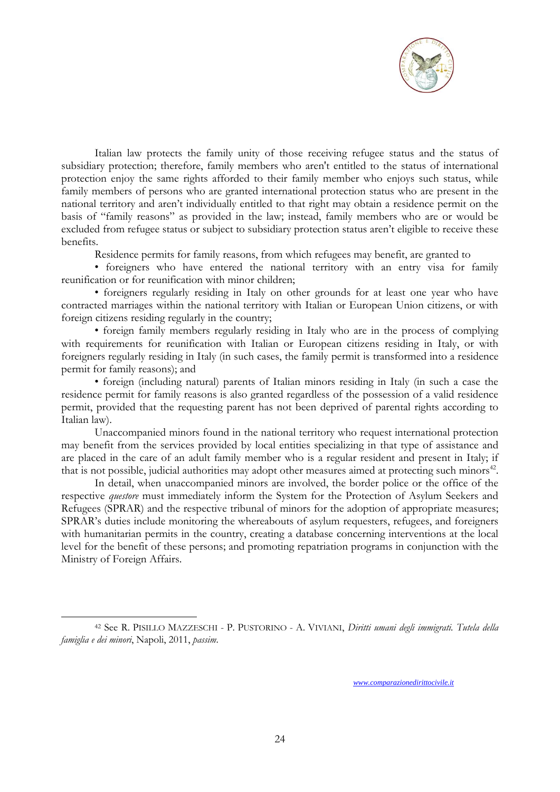![](_page_23_Picture_0.jpeg)

Italian law protects the family unity of those receiving refugee status and the status of subsidiary protection; therefore, family members who aren't entitled to the status of international protection enjoy the same rights afforded to their family member who enjoys such status, while family members of persons who are granted international protection status who are present in the national territory and aren't individually entitled to that right may obtain a residence permit on the basis of "family reasons" as provided in the law; instead, family members who are or would be excluded from refugee status or subject to subsidiary protection status aren't eligible to receive these benefits.

Residence permits for family reasons, from which refugees may benefit, are granted to

• foreigners who have entered the national territory with an entry visa for family reunification or for reunification with minor children;

• foreigners regularly residing in Italy on other grounds for at least one year who have contracted marriages within the national territory with Italian or European Union citizens, or with foreign citizens residing regularly in the country;

• foreign family members regularly residing in Italy who are in the process of complying with requirements for reunification with Italian or European citizens residing in Italy, or with foreigners regularly residing in Italy (in such cases, the family permit is transformed into a residence permit for family reasons); and

• foreign (including natural) parents of Italian minors residing in Italy (in such a case the residence permit for family reasons is also granted regardless of the possession of a valid residence permit, provided that the requesting parent has not been deprived of parental rights according to Italian law).

Unaccompanied minors found in the national territory who request international protection may benefit from the services provided by local entities specializing in that type of assistance and are placed in the care of an adult family member who is a regular resident and present in Italy; if that is not possible, judicial authorities may adopt other measures aimed at protecting such minors<sup>42</sup>.

In detail, when unaccompanied minors are involved, the border police or the office of the respective *questore* must immediately inform the System for the Protection of Asylum Seekers and Refugees (SPRAR) and the respective tribunal of minors for the adoption of appropriate measures; SPRAR's duties include monitoring the whereabouts of asylum requesters, refugees, and foreigners with humanitarian permits in the country, creating a database concerning interventions at the local level for the benefit of these persons; and promoting repatriation programs in conjunction with the Ministry of Foreign Affairs.

1

<sup>42</sup> See R. PISILLO MAZZESCHI - P. PUSTORINO - A. VIVIANI, *Diritti umani degli immigrati. Tutela della famiglia e dei minori*, Napoli, 2011, *passim*.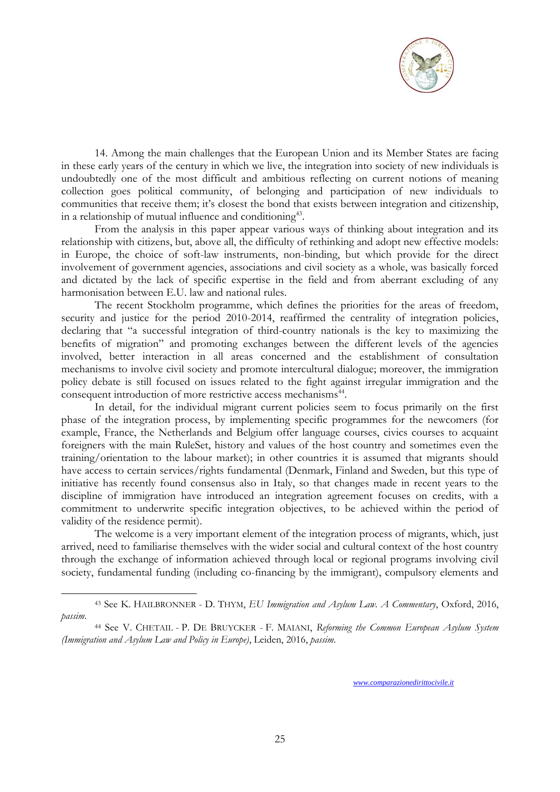![](_page_24_Picture_0.jpeg)

14. Among the main challenges that the European Union and its Member States are facing in these early years of the century in which we live, the integration into society of new individuals is undoubtedly one of the most difficult and ambitious reflecting on current notions of meaning collection goes political community, of belonging and participation of new individuals to communities that receive them; it's closest the bond that exists between integration and citizenship, in a relationship of mutual influence and conditioning<sup>43</sup>.

From the analysis in this paper appear various ways of thinking about integration and its relationship with citizens, but, above all, the difficulty of rethinking and adopt new effective models: in Europe, the choice of soft-law instruments, non-binding, but which provide for the direct involvement of government agencies, associations and civil society as a whole, was basically forced and dictated by the lack of specific expertise in the field and from aberrant excluding of any harmonisation between E.U. law and national rules.

The recent Stockholm programme, which defines the priorities for the areas of freedom, security and justice for the period 2010-2014, reaffirmed the centrality of integration policies, declaring that "a successful integration of third-country nationals is the key to maximizing the benefits of migration" and promoting exchanges between the different levels of the agencies involved, better interaction in all areas concerned and the establishment of consultation mechanisms to involve civil society and promote intercultural dialogue; moreover, the immigration policy debate is still focused on issues related to the fight against irregular immigration and the consequent introduction of more restrictive access mechanisms<sup>44</sup>.

In detail, for the individual migrant current policies seem to focus primarily on the first phase of the integration process, by implementing specific programmes for the newcomers (for example, France, the Netherlands and Belgium offer language courses, civics courses to acquaint foreigners with the main RuleSet, history and values of the host country and sometimes even the training/orientation to the labour market); in other countries it is assumed that migrants should have access to certain services/rights fundamental (Denmark, Finland and Sweden, but this type of initiative has recently found consensus also in Italy, so that changes made in recent years to the discipline of immigration have introduced an integration agreement focuses on credits, with a commitment to underwrite specific integration objectives, to be achieved within the period of validity of the residence permit).

The welcome is a very important element of the integration process of migrants, which, just arrived, need to familiarise themselves with the wider social and cultural context of the host country through the exchange of information achieved through local or regional programs involving civil society, fundamental funding (including co-financing by the immigrant), compulsory elements and

1

<sup>43</sup> See K. HAILBRONNER - D. THYM, *EU Immigration and Asylum Law. A Commentary*, Oxford, 2016, *passim*.

<sup>44</sup> See V. C[HETAIL](https://www.amazon.co.uk/s/ref=dp_byline_sr_book_1?ie=UTF8&text=Vincent+Chetail&search-alias=books-uk&field-author=Vincent+Chetail&sort=relevancerank) - P. DE B[RUYCKER](https://www.amazon.co.uk/s/ref=dp_byline_sr_book_2?ie=UTF8&text=Philippe+De+Bruycker&search-alias=books-uk&field-author=Philippe+De+Bruycker&sort=relevancerank) - F. M[AIANI](https://www.amazon.co.uk/s/ref=dp_byline_sr_book_3?ie=UTF8&text=Francesco+Maiani&search-alias=books-uk&field-author=Francesco+Maiani&sort=relevancerank), *Reforming the Common European Asylum System (Immigration and Asylum Law and Policy in Europe)*, Leiden, 2016, *passim*.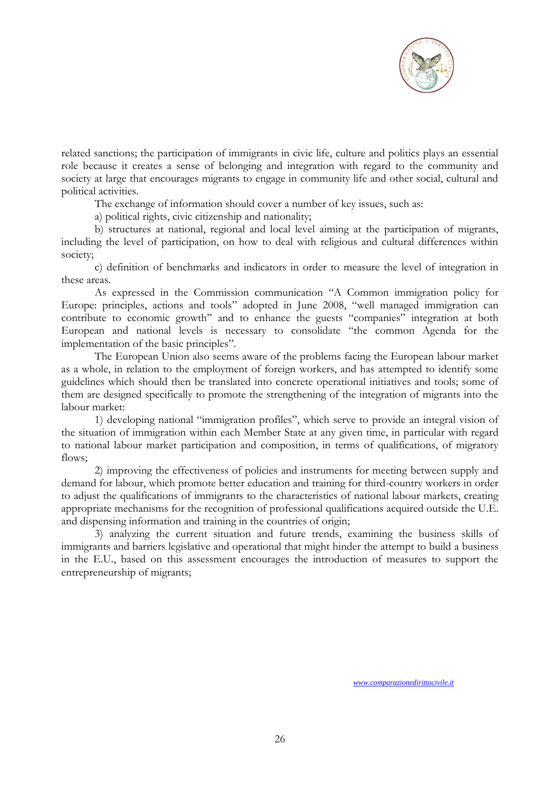![](_page_25_Picture_0.jpeg)

related sanctions; the participation of immigrants in civic life, culture and politics plays an essential role because it creates a sense of belonging and integration with regard to the community and society at large that encourages migrants to engage in community life and other social, cultural and political activities.

The exchange of information should cover a number of key issues, such as:

a) political rights, civic citizenship and nationality;

b) structures at national, regional and local level aiming at the participation of migrants, including the level of participation, on how to deal with religious and cultural differences within society;

c) definition of benchmarks and indicators in order to measure the level of integration in these areas.

As expressed in the Commission communication "A Common immigration policy for Europe: principles, actions and tools" adopted in June 2008, "well managed immigration can contribute to economic growth" and to enhance the guests "companies" integration at both European and national levels is necessary to consolidate "the common Agenda for the implementation of the basic principles".

The European Union also seems aware of the problems facing the European labour market as a whole, in relation to the employment of foreign workers, and has attempted to identify some guidelines which should then be translated into concrete operational initiatives and tools; some of them are designed specifically to promote the strengthening of the integration of migrants into the labour market:

1) developing national "immigration profiles", which serve to provide an integral vision of the situation of immigration within each Member State at any given time, in particular with regard to national labour market participation and composition, in terms of qualifications, of migratory flows;

2) improving the effectiveness of policies and instruments for meeting between supply and demand for labour, which promote better education and training for third-country workers in order to adjust the qualifications of immigrants to the characteristics of national labour markets, creating appropriate mechanisms for the recognition of professional qualifications acquired outside the U.E. and dispensing information and training in the countries of origin;

3) analyzing the current situation and future trends, examining the business skills of immigrants and barriers legislative and operational that might hinder the attempt to build a business in the E.U., based on this assessment encourages the introduction of measures to support the entrepreneurship of migrants;